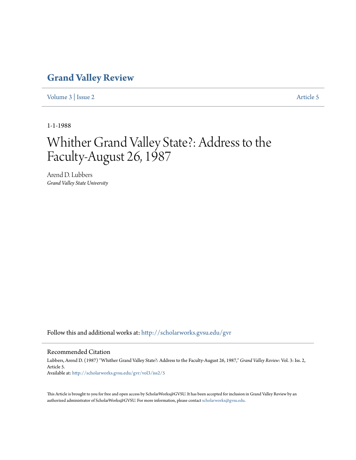## **[Grand Valley Review](http://scholarworks.gvsu.edu/gvr?utm_source=scholarworks.gvsu.edu%2Fgvr%2Fvol3%2Fiss2%2F5&utm_medium=PDF&utm_campaign=PDFCoverPages)**

[Volume 3](http://scholarworks.gvsu.edu/gvr/vol3?utm_source=scholarworks.gvsu.edu%2Fgvr%2Fvol3%2Fiss2%2F5&utm_medium=PDF&utm_campaign=PDFCoverPages) | [Issue 2](http://scholarworks.gvsu.edu/gvr/vol3/iss2?utm_source=scholarworks.gvsu.edu%2Fgvr%2Fvol3%2Fiss2%2F5&utm_medium=PDF&utm_campaign=PDFCoverPages) [Article 5](http://scholarworks.gvsu.edu/gvr/vol3/iss2/5?utm_source=scholarworks.gvsu.edu%2Fgvr%2Fvol3%2Fiss2%2F5&utm_medium=PDF&utm_campaign=PDFCoverPages)

1-1-1988

## Whither Grand Valley State?: Address to the Faculty-August 26, 1987

Arend D. Lubbers *Grand Valley State University*

Follow this and additional works at: [http://scholarworks.gvsu.edu/gvr](http://scholarworks.gvsu.edu/gvr?utm_source=scholarworks.gvsu.edu%2Fgvr%2Fvol3%2Fiss2%2F5&utm_medium=PDF&utm_campaign=PDFCoverPages)

## Recommended Citation

Lubbers, Arend D. (1987) "Whither Grand Valley State?: Address to the Faculty-August 26, 1987," *Grand Valley Review*: Vol. 3: Iss. 2, Article 5. Available at: [http://scholarworks.gvsu.edu/gvr/vol3/iss2/5](http://scholarworks.gvsu.edu/gvr/vol3/iss2/5?utm_source=scholarworks.gvsu.edu%2Fgvr%2Fvol3%2Fiss2%2F5&utm_medium=PDF&utm_campaign=PDFCoverPages)

This Article is brought to you for free and open access by ScholarWorks@GVSU. It has been accepted for inclusion in Grand Valley Review by an authorized administrator of ScholarWorks@GVSU. For more information, please contact [scholarworks@gvsu.edu.](mailto:scholarworks@gvsu.edu)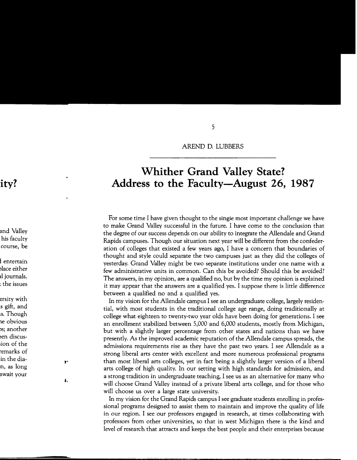AREND D. LUBBERS

## **Whither Grand Valley State? Address to the Faculty-August** 26, **1987**

For some time I have given thought to the single most important challenge we have to make Grand Valley successful in the future. I have come to the conclusion that the degree of our success depends on our ability to integrate the Allendale and Grand Rapids campuses. Though our situation next year will be different from the confederation of colleges that existed a few years ago, I have a concern that boundaries of thought and style could separate the two campuses just as they did the colleges of yesterday. Grand Valley might be two separate institutions under one name with a few administrative units in common. Can this be avoided? Should this be avoided? The answers, in my opinion, are a qualified no, but by the time my opinion is explained it may appear that the answers are a qualified yes. I suppose there is little difference between a qualified no and a qualified yes.

In my vision for the Allendale campus I see an undergraduate college, largely residential, with most students in the traditional college age range, doing traditionally at college what eighteen to twenty-two year olds have been doing for generations. I see an enrollment stabilized between 5,000 and 6,000 students, mostly from Michigan, but with a slightly larger percentage from other states and nations than we have presently. As the improved academic reputation of the Allendale campus spreads, the admissions requirements rise as they have the past two years. I see Allendale as a strong liberal arts center with excellent and more numerous professional programs than most liberal arts colleges, yet in fact being a slightly larger version of a liberal arts college of high quality. In our setting with high standards for admission, and a strong tradition in undergraduate teaching, I see us as an alternative for many who will choose Grand Valley instead of a private liberal arts college, and for those who will choose us over a large state university.

In my vision for the Grand Rapids campus I see graduate students enrolling in professional programs designed to assist them to maintain and improve the quality of life in our region. I see our professors engaged in research, at times collaborating with professors from other universities, so that in west Michigan there is the kind and level of research that attracts and keeps the best people and their enterprises because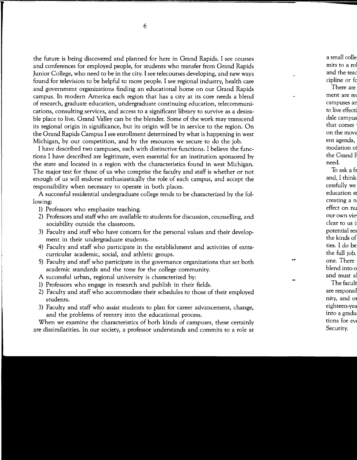the future is being discovered and planned for here in Grand Rapids. I see courses and conferences for employed people, for students who transfer from Grand Rapids Junior College, who need to be in the city. I see telecourses developing, and new ways found for television to be helpful to more people. I see regional industry, health care and government organizations finding an educational home on our Grand Rapids campus. In modern America each region that has a city at its core needs a blend of research, graduate education, undergraduate continuing education, telecommunications, consulting services, and access to a significant library to survive as a desirable place to live. Grand Valley can be the blender. Some of the work may transcend its regional origin in significance, but its origin will be in service to the region. On the Grand Rapids Campus I see enrollment determined by what is happening in west Michigan, by our competition, and by the resources we secure to do the job.

I have described two campuses, each with distinctive functions. I believe the functions I have described are legitimate, even essential for an institution sponsored by the state and located in a region with the characteristics found in west Michigan. The major test for those of us who comprise the faculty and staff is whether or not enough of us will endorse enthusiastically the role of each campus, and accept the responsibility when necessary to operate in both places.

A successful residential undergraduate college tends to be characterized by the following:

- 1) Professors who emphasize teaching.
- 2) Professors and staff who are available to students for discussion, counselling, and sociability outside the classroom.
- 3) Faculty and staff who have concern for the personal values and their development in their undergraduate students.
- 4) Faculty and staff who participate in the establishment and activities of extracurricular academic, social, and athletic groups.
- 5) Faculty and staff who participate in the governance organizations that set both academic standards and the tone for the college community.
- A successful urban, regional university is characterized by:
- 1) Professors who engage in research and publish in their fields.
- 2) Faculty and staff who accommodate their schedules to those of their employed students.
- 3) Faculty and staff who assist students to plan for career advancement, change, and the problems of reentry into the educational process.

When we examine the characteristics of both kinds of campuses, these certainly are dissimilarities. In our society, a professor understands and commits to a role at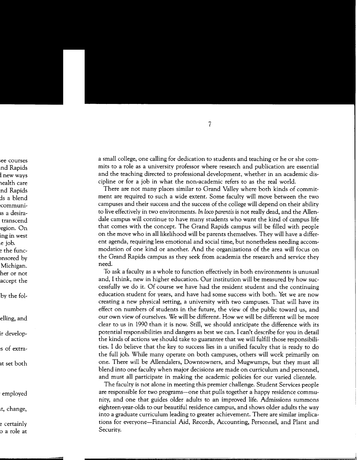a small college, one calling for dedication to students and teaching or he or she commits to a role as a university professor where research and publication are essential and the teaching directed to professional development, whether in an academic discipline or for a job in what the non-academic refers to as the real world.

There are not many places similar to Grand Valley where both kinds of commitment are required to such a wide extent. Some faculty will move between the two campuses and their success and the success of the college will depend on their ability to live effectively in two environments. *In loco parentis* is not really dead, and the Allendale campus will continue to have many students who want the kind of campus life that comes with the concept. The Grand Rapids campus will be filled with people on the move who in all likelihood will be parents themselves. They will have a different agenda, requiring less emotional and social time, but nonetheless needing accommodation of one kind or another. And the organizations of the area will focus on the Grand Rapids campus as they seek from academia the research and service they need.

To ask a faculty as a whole to function effectively in both environments is unusual and, I think, new in higher education. Our institution will be measured by how successfully we do it. Of course we have had the resident student and the continuing education student for years, and have had some success with both. Yet we are now creating a new physical setting, a university with two campuses. That will have its effect on numbers of students in the future, the view of the public toward us, and our own view of ourselves. We will be different. How we will be different will be more clear to us in 1990 than it is now. Still, we should anticipate the difference with its potential responsibilities and dangers as best we can. I can't describe for you in detail the kinds of actions we should take to guarantee that we will fulfill those responsibilities. I do believe that the key to success lies in a unified faculty that is ready to do the full job. While many operate on both campuses, others will work primarily on one. There will be Allendalers, Downtowners, and Mugwumps, but they must all blend into one faculty when major decisions are made on curriculum and personnel, and must all participate in making the academic policies for our varied clientele.

The faculty is not alone in meeting this premier challenge. Student Services people are responsible for two programs--one that pulls together a happy residence community, and one that guides older adults to an improved life. Admissions summons eighteen-year-aids to our beautiful residence campus, and shows older adults the way into a graduate curriculum leading to greater achievement. There are similar implications for everyone-Financial Aid, Records, Accounting, Personnel, and Plant and Security.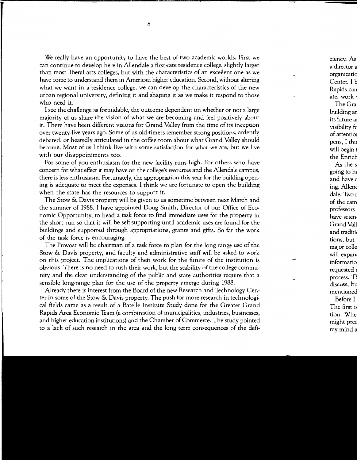We really have an opportunity to have the best of two academic worlds. First we can continue to develop here in Allendale a first-rate residence college, slightly larger than most liberal arts colleges, but with the characteristics of an excellent one as we have come to understand them in American higher education. Second, without altering what we want in a residence college, we can develop the characteristics of the new urban regional university, defining it and shaping it as we make it respond to those who need it.

I see the challenge as formidable, the outcome dependent on whether or not a large majority of us share the vision of what we are becoming and feel positively about it. There have been different visions for Grand Valley from the time of its inception over twenty-five years ago. Some of us old-timers remember strong positions, ardently debated, or heatedly articulated in the coffee room about what Grand Valley should become. Most of us I think live with some satisfaction for what we are, but we live with our disappointments too.

For some of you enthusiasm for the new facility runs high. For others who have concern for what effect it may have on the college's resources and the Allendale campus, there is less enthusiasm. Fortunately, the appropriation this year for the building opening is adequate to meet the expenses. I think we are fortunate to open the building when the state has the resources to support it.

The Stow & Davis property will be given to us sometime between next March and the summer of 1988. I have appointed Doug Smith, Director of our Office of Economic Opportunity, to head a task force to find immediate uses for the property in the short run so that it will be self-supporting until academic uses are found for the buildings and supported through appropriations, grants and gifts. So far the work of the task force is encouraging.

The Provost will be chairman of a task force to plan for the long range use of the Stow & Davis property, and faculty and administrative staff will be asked to work on this project. The implications of their work for the future of the institution is obvious. There is no need to rush their work, but the stability of the college community and the clear understanding of the public and state authorities require that a sensible long-range plan for the use of the property emerge during 1988.

Already there is interest from the Board of the new Research and Technology Center in some of the Stow & Davis property. The push for more research in technological fields came as a result of a Batelle Institute Study done for the Greater Grand Rapids Area Economic Team (a combination of municipalities, industries, businesses, and higher education institutions) and the Chamber of Commerce. The study pointed to a lack of such research in the area and the long term consequences of the defi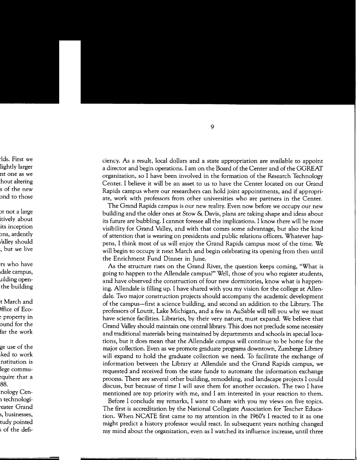ciency. As a result, local dollars and a state appropriation are available to appoint a director and begin operations. I am on the Board of the Center and of the GGREAT organization, so I have been involved in the formation of the Research Technology Center. I believe it will be an asset to us to have the Center located on our Grand Rapids campus where our researchers can hold joint appointments, and if appropriate, work with professors from other universities who are partners in the Center.

The Grand Rapids campus is our new reality. Even now before we occupy our new building and the older ones at Stow & Davis, plans are taking shape and ideas about its future are bubbling. I cannot foresee all the implications. I know there will be more visibility for Grand Valley, and with that comes some advantage, but also the kind of attention that is wearing on presidents and public relations officers. Whatever happens, I think most of us will enjoy the Grand Rapids campus most of the time. We will begin to occupy it next March and begin celebrating its opening from then until the Enrichment Fund Dinner in June.

As the structure rises on the Grand River, the question keeps coming, "What is going to happen to the Allendale campus?" Well, those of you who register students, and have observed the construction of four new dormitories, know what is happening. Allendale is filling up. I have shared with you my vision for the college at Allendale. Two major construction projects should accompany the academic development of the campus-first a science building, and second an addition to the Library. The professors of Loutit, Lake Michigan, and a few in AuSable will tell you why we must have science facilities. Libraries, by their very nature, must expand. We believe that Grand Valley should maintain one central library. This does not preclude some necessity and traditional materials being maintained by departments and schools in special locations, but it does mean that the Allendale campus will continue to be home for the major collection. Even as we promote graduate programs downtown, Zumberge Library will expand to hold the graduate collection we need. To facilitate the exchange of information between the Library at Allendale and the Grand Rapids campus, we requested and received from the state funds to automate the information exchange process. There are several other building, remodeling, and landscape projects I could discuss, but because of time I will save them for another occasion. The two I have mentioned are top priority with me, and I am interested in your reaction to them.

Before I conclude my remarks, I want to share with you my views on five topics. The first is accreditation by the National Collegiate Association for Teacher Education. When NCATE first came to my attention in the 1960's I reacted to it as one might predict a history professor would react. In subsequent years nothing changed my mind about the organization, even as I watched its influence increase, until three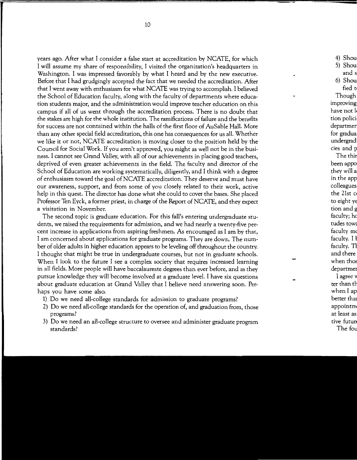years ago. After what I consider a false start at accreditation by NCATE, for which I will assume my share of responsibility, I visited the organization's headquarters in Washington. I was impressed favorably by what I heard and by the new executive. Before that I had grudgingly accepted the fact that we needed the accreditation. After that I went away with enthusiasm for what NCATE was trying to accomplish. I believed the School of Education faculty, along with the faculty of departments where education students major, and the administration would improve teacher education on this campus if all of us went through the accreditation process. There is no doubt that the stakes are high for the whole institution. The ramifications of failure and the benefits for success are not contained within the halls of the first floor of AuSable Hall. More than any other special field accreditation, this one has consequences for us all. Whether we like it or not, NCATE accreditation is moving closer to the position held by the Council for Social Work. If you aren't approved, you might as well not be in the business. I cannot see Grand Valley, with all of our achievements in placing good teachers, deprived of even greater achievements in the field. The faculty and director of the School of Education are working systematically, diligently, and I think with a degree of enthusiasm toward the goal ofNCATE accreditation. They deserve and must have our awareness, support, and from some of you closely related to their work, active help in this quest. The director has done what she could to cover the bases. She placed Professor Ten Eyck, a former priest, in charge of the Report of NCATE, and they expect a visitation in November.

The second topic is graduate education. For this fall's entering undergraduate students, we raised the requirements for admission, and we had nearly a twenty-five percent increase in applications from aspiring freshmen. As encouraged as I am by that, I am concerned about applications for graduate programs. They are down. The number of older adults in higher education appears to be leveling off throughout the country. I thought that might be true in undergraduate courses, but not in graduate schools. When I look to the future I see a complex society that requires increased learning in all fields. More people will have baccalaureate degrees than ever before, and as they pursue knowledge they will become involved at a graduate level. I have six questions about graduate education at Grand Valley that I believe need answering soon. Perhaps you have some also.

- 1) Do we need all-college standards for admission to graduate programs?
- 2) Do we need all-college standards for the operation of, and graduation from, those programs?
- 3) Do we need an all-college structure to oversee and administer graduate program standards?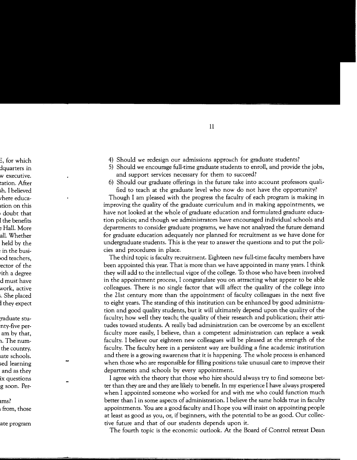- 4) Should we redesign our admissions approach for graduate students?
- 5) Should we encourage full-time graduate students to enroll, and provide the jobs, and support services necessary for them to succeed?
- 6) Should our graduate offerings in the future take into account professors qualified to teach at the graduate level who now do not have the opportunity?

Though I am pleased with the progress the faculty of each program is making in improving the quality of the graduate curriculum and in making appointments, we have not looked at the whole of graduate education and formulated graduate education policies; and though we administrators have encouraged individual schools and departments to consider graduate programs, we have not analyzed the future demand for graduate education adequately nor planned for recruitment as we have done for undergraduate students. This is the year to answer the questions and to put the policies and procedures in place.

The third topic is faculty recruitment. Eighteen new full-time faculty members have been appointed this year. That is more than we have appointed in many years. I think they will add to the intellectual vigor of the college. To those who have been involved in the appointment process, I congratulate you on attracting what appear to be able colleagues. There is no single factor that will affect the quality of the college into the 21st century more than the appointment of faculty colleagues in the next five to eight years. The standing of this institution can be enhanced by good administration and good quality students, but it will ultimately depend upon the quality of the faculty; how well they teach; the quality of their research and publication; their attitudes toward students. A really bad administration can be overcome by an excellent faculty more easily, I believe, than a competent administration can replace a weak faculty. I believe our eighteen new colleagues will be pleased at the strength of the faculty. The faculty here in a persistent way are building a fine academic institution and there is a growing awareness that it is happening. The whole process is enhanced when those who are responsible for filling positions take unusual care to improve their departments and schools by every appointment.

I agree with the theory that those who hire should always try to find someone better than they are and they are likely to benefit. In my experience I have always prospered when I appointed someone who worked for and with me who could function much better than I in some aspects of administration. I believe the same holds true in faculty appointments. You are a good faculty and I hope you will insist on appointing people at least as good as you, or, if beginners, with the potential to be as good. Our collective future and that of our students depends upon it.

The fourth topic is the economic outlook. At the Board of Control retreat Dean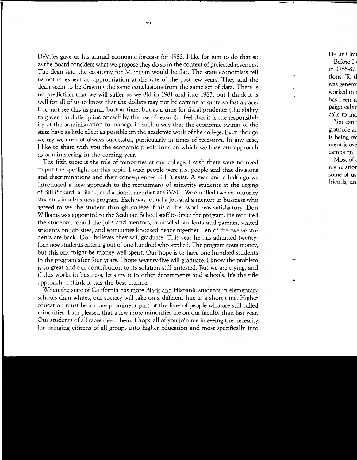DeVries gave us his annual economic forecast for 1988. I like for him to do that so as the Board considers what we propose they do so in the context of projected revenues. The dean said the economy for Michigan would be flat. The state economists tell us not to expect an appropriation at the rate of the past few years. They and the dean seem to be drawing the same conclusions from the same set of data. There is no prediction that we will suffer as we did in 1981 and into 1983, but I think it is well for all of us to know that the dollars may not be coming at quite so fast a pace. I do not see this as panic button time, but as a time for fiscal prudence (the ability to govern and discipline oneself by the use of reason). I feel that it is the responsibility of the administration to manage in such a way that the economic swings of the state have as little effect as possible on the academic work of the college. Even though we try we are not always successful, particularly in times of recession. In any case, I like to share with you the economic predictions on which we base our approach to administering in the coming year.

The fifth topic is the role of minorities at our college. I wish there were no need to put the spotlight on this topic. I wish people were just people and that divisions and discriminations and their consequences didn't exist. A year and a half ago we introduced a new approach to the recruitment of minority students at the urging of Bill Pickard, a Black, and a Board member at GVSC. We enrolled twelve minority students in a business program. Each was found a job and a mentor in business who agreed to see the student through college if his or her work was satisfactory. Don Williams was appointed to the Seidman School staff to direct the program. He recruited the students, found the jobs and mentors, counseled students and parents, visited students on job sites, and sometimes knocked heads together. Ten of the twelve students are back. Don believes they will graduate. This year he has admitted twentyfour new students entering out of one hundred who applied. The program costs money, but this one might be money well spent. Our hope is to have one hundred students in the program after four years. I hope seventy-five will graduate. I know the problem is so great and our contribution to its solution still untested. But we are trying, and if this works in business, let's try it in other departments and schools. It's the rifle approach. I think it has the best chance.

When the state of California has more Black and Hispanic students in elementary schools than whites, our society will take on a different hue in a short time. Higher education must be a more prominent part of the lives of people who are still called minorities. I am pleased that a few more minorities are on our faculty than last year. Our students of all races need them. I hope all of you join me in seeing the necessity for bringing citizens of all groups into higher education and most specifically into